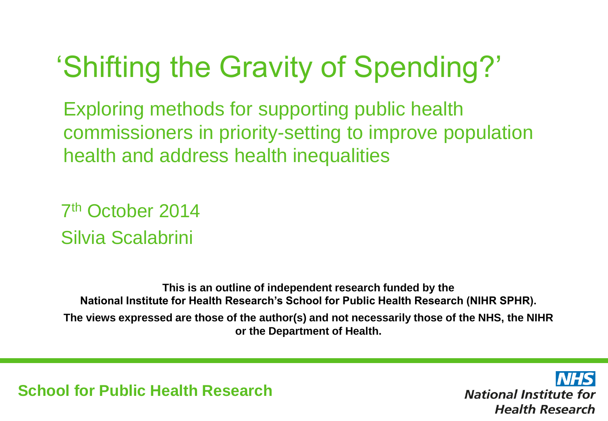## 'Shifting the Gravity of Spending?'

Exploring methods for supporting public health commissioners in priority-setting to improve population health and address health inequalities

7 th October 2014 Silvia Scalabrini

**This is an outline of independent research funded by the National Institute for Health Research's School for Public Health Research (NIHR SPHR). The views expressed are those of the author(s) and not necessarily those of the NHS, the NIHR or the Department of Health.**

**School for Public Health Research**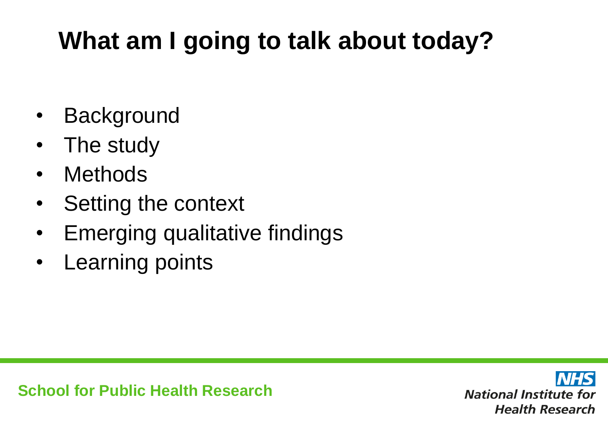#### **What am I going to talk about today?**

- Background
- The study
- Methods
- Setting the context
- Emerging qualitative findings
- Learning points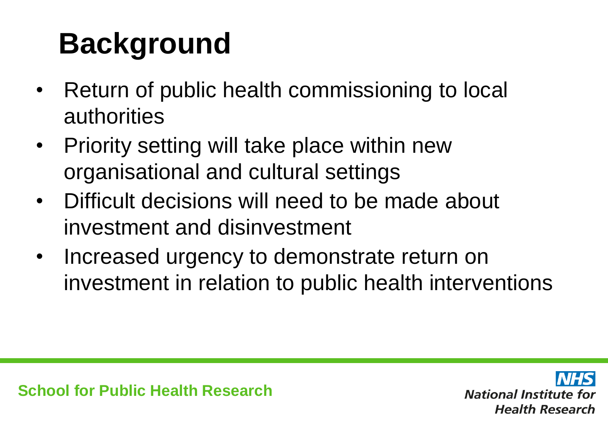# **Background**

- Return of public health commissioning to local authorities
- Priority setting will take place within new organisational and cultural settings
- Difficult decisions will need to be made about investment and disinvestment
- Increased urgency to demonstrate return on investment in relation to public health interventions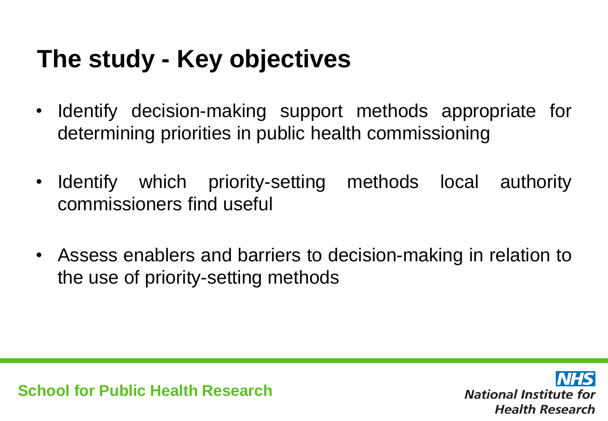#### **The study - Key objectives**

- Identify decision-making support methods appropriate for determining priorities in public health commissioning
- Identify which priority-setting methods local authority commissioners find useful
- Assess enablers and barriers to decision-making in relation to the use of priority-setting methods

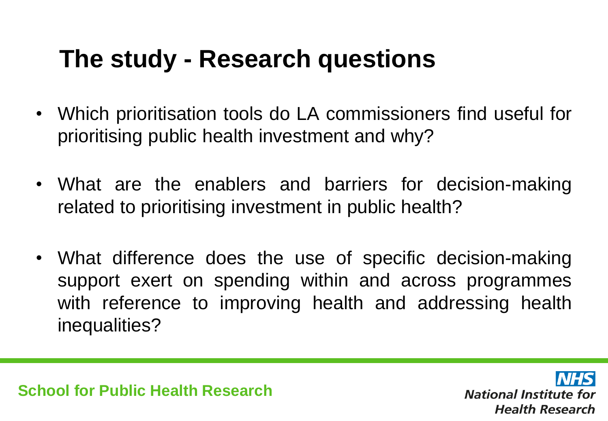#### **The study - Research questions**

- Which prioritisation tools do LA commissioners find useful for prioritising public health investment and why?
- What are the enablers and barriers for decision-making related to prioritising investment in public health?
- What difference does the use of specific decision-making support exert on spending within and across programmes with reference to improving health and addressing health inequalities?

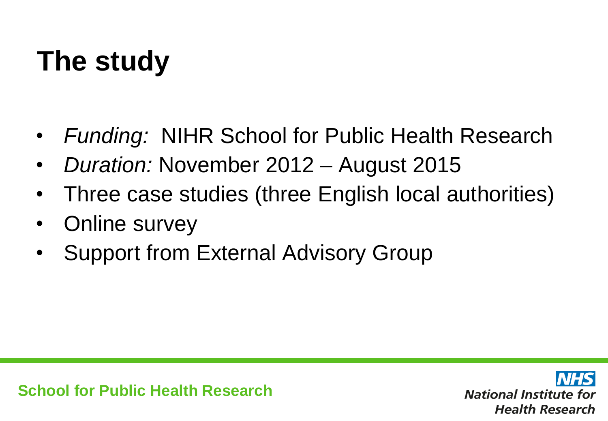## **The study**

- *Funding:* NIHR School for Public Health Research
- *Duration:* November 2012 August 2015
- Three case studies (three English local authorities)
- Online survey
- Support from External Advisory Group

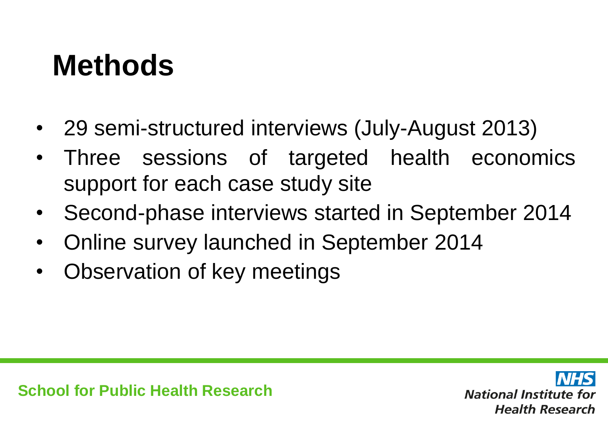## **Methods**

- 29 semi-structured interviews (July-August 2013)
- Three sessions of targeted health economics support for each case study site
- Second-phase interviews started in September 2014
- Online survey launched in September 2014
- Observation of key meetings

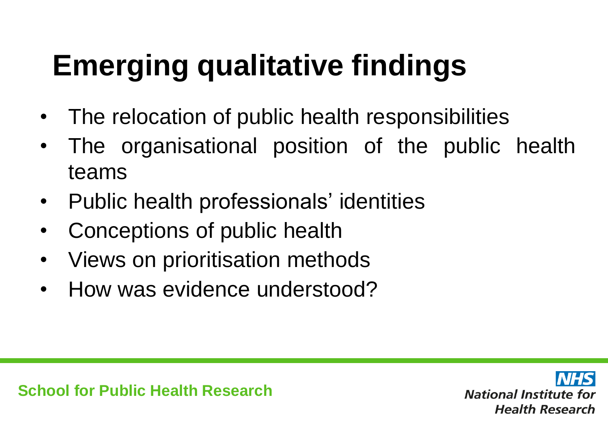# **Emerging qualitative findings**

- The relocation of public health responsibilities
- The organisational position of the public health teams
- Public health professionals' identities
- Conceptions of public health
- Views on prioritisation methods
- How was evidence understood?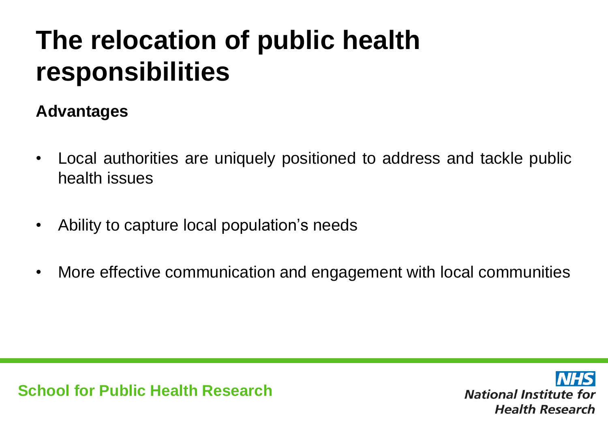#### **The relocation of public health responsibilities**

#### **Advantages**

- Local authorities are uniquely positioned to address and tackle public health issues
- Ability to capture local population's needs
- More effective communication and engagement with local communities

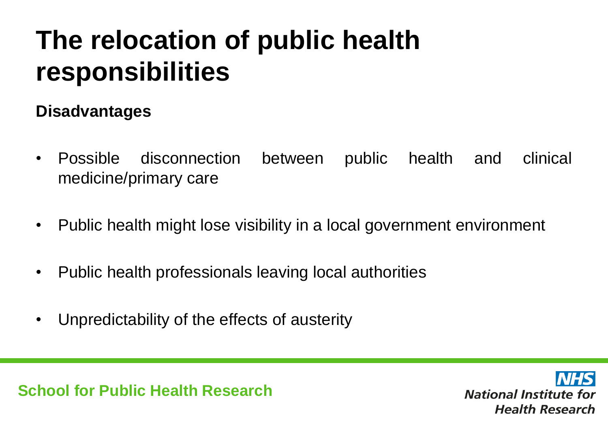#### **The relocation of public health responsibilities**

#### **Disadvantages**

- Possible disconnection between public health and clinical medicine/primary care
- Public health might lose visibility in a local government environment
- Public health professionals leaving local authorities
- Unpredictability of the effects of austerity

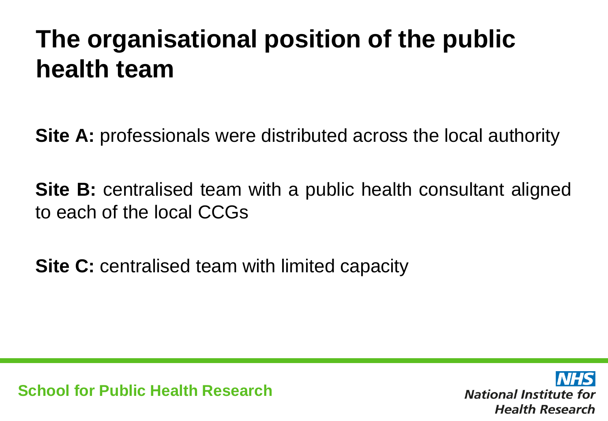#### **The organisational position of the public health team**

**Site A:** professionals were distributed across the local authority

**Site B:** centralised team with a public health consultant aligned to each of the local CCGs

**Site C:** centralised team with limited capacity

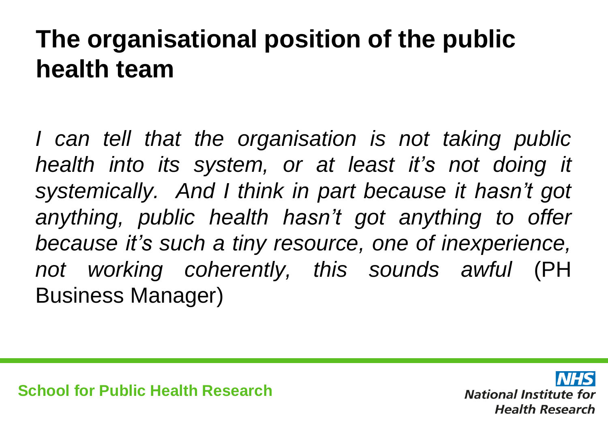#### **The organisational position of the public health team**

*I can tell that the organisation is not taking public health into its system, or at least it's not doing it systemically. And I think in part because it hasn't got anything, public health hasn't got anything to offer because it's such a tiny resource, one of inexperience, not working coherently, this sounds awful* (PH Business Manager)

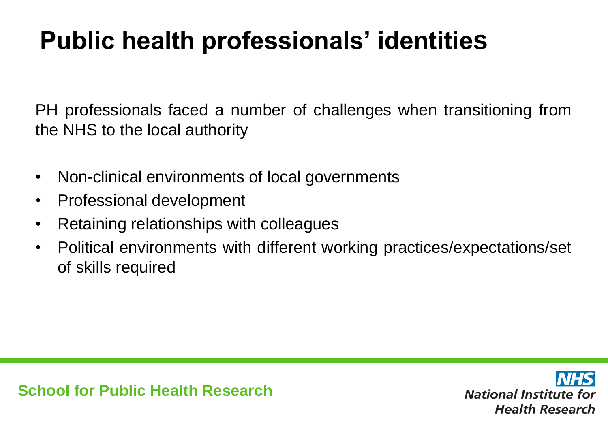#### **Public health professionals' identities**

PH professionals faced a number of challenges when transitioning from the NHS to the local authority

- Non-clinical environments of local governments
- Professional development
- Retaining relationships with colleagues
- Political environments with different working practices/expectations/set of skills required

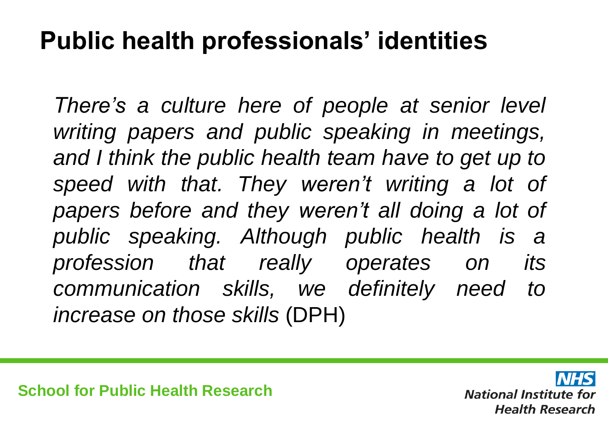#### **Public health professionals' identities**

*There's a culture here of people at senior level writing papers and public speaking in meetings, and I think the public health team have to get up to speed with that. They weren't writing a lot of papers before and they weren't all doing a lot of public speaking. Although public health is a profession that really operates on its communication skills, we definitely need to increase on those skills* (DPH)

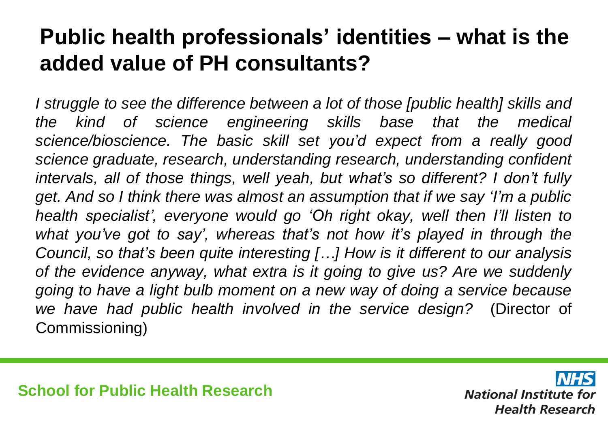#### **Public health professionals' identities – what is the added value of PH consultants?**

*I struggle to see the difference between a lot of those [public health] skills and the kind of science engineering skills base that the medical science/bioscience. The basic skill set you'd expect from a really good science graduate, research, understanding research, understanding confident intervals, all of those things, well yeah, but what's so different? I don't fully get. And so I think there was almost an assumption that if we say 'I'm a public health specialist', everyone would go 'Oh right okay, well then I'll listen to what you've got to say', whereas that's not how it's played in through the Council, so that's been quite interesting […] How is it different to our analysis of the evidence anyway, what extra is it going to give us? Are we suddenly going to have a light bulb moment on a new way of doing a service because we have had public health involved in the service design?* (Director of Commissioning)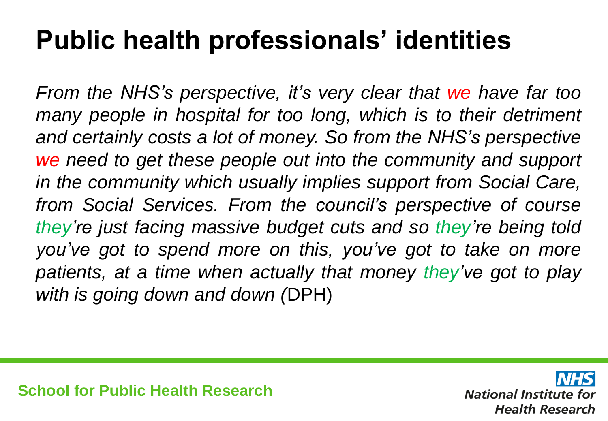#### **Public health professionals' identities**

*From the NHS's perspective, it's very clear that we have far too many people in hospital for too long, which is to their detriment and certainly costs a lot of money. So from the NHS's perspective we need to get these people out into the community and support in the community which usually implies support from Social Care, from Social Services. From the council's perspective of course they're just facing massive budget cuts and so they're being told you've got to spend more on this, you've got to take on more patients, at a time when actually that money they've got to play with is going down and down (*DPH)

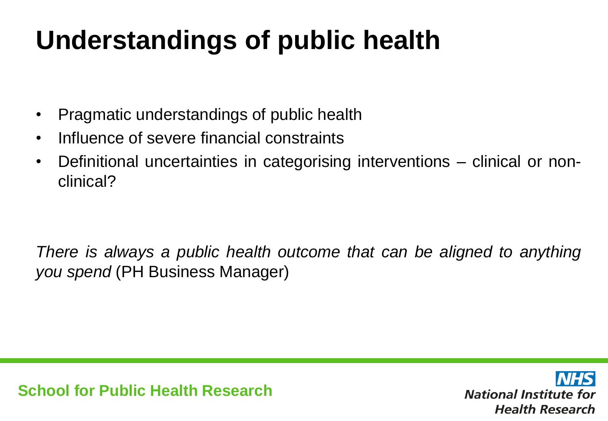## **Understandings of public health**

- Pragmatic understandings of public health
- Influence of severe financial constraints
- Definitional uncertainties in categorising interventions clinical or nonclinical?

*There is always a public health outcome that can be aligned to anything you spend* (PH Business Manager)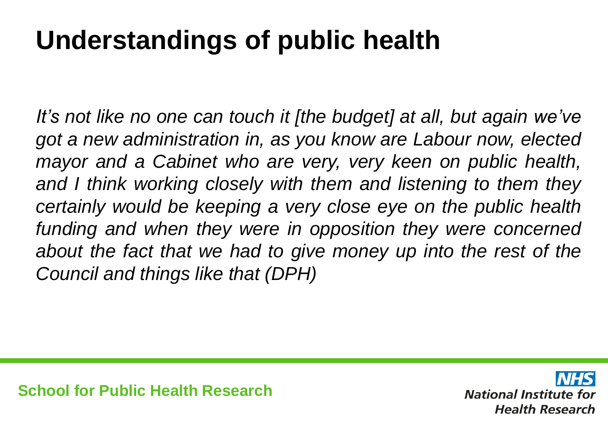## **Understandings of public health**

*It's not like no one can touch it [the budget] at all, but again we've got a new administration in, as you know are Labour now, elected mayor and a Cabinet who are very, very keen on public health, and I think working closely with them and listening to them they certainly would be keeping a very close eye on the public health funding and when they were in opposition they were concerned about the fact that we had to give money up into the rest of the Council and things like that (DPH)*

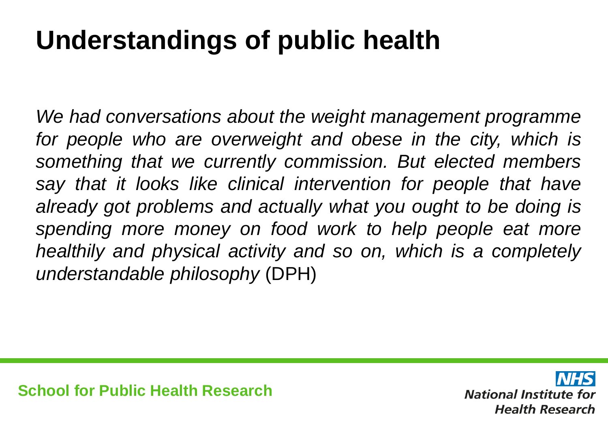## **Understandings of public health**

*We had conversations about the weight management programme for people who are overweight and obese in the city, which is something that we currently commission. But elected members say that it looks like clinical intervention for people that have already got problems and actually what you ought to be doing is spending more money on food work to help people eat more healthily and physical activity and so on, which is a completely understandable philosophy* (DPH)

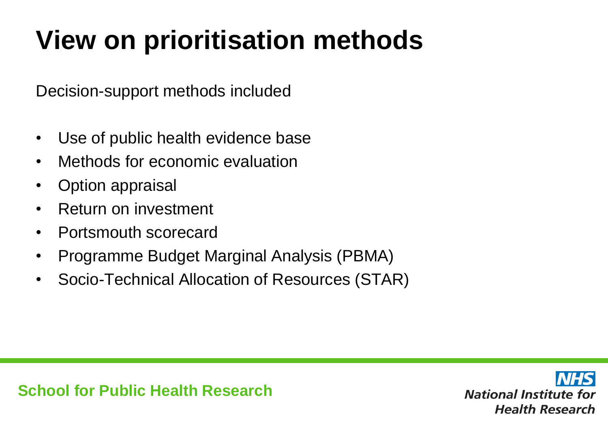Decision-support methods included

- Use of public health evidence base
- Methods for economic evaluation
- Option appraisal
- Return on investment
- Portsmouth scorecard
- Programme Budget Marginal Analysis (PBMA)
- Socio-Technical Allocation of Resources (STAR)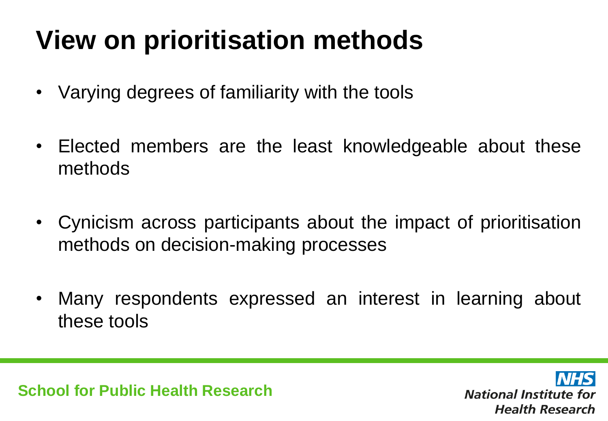- Varying degrees of familiarity with the tools
- Elected members are the least knowledgeable about these methods
- Cynicism across participants about the impact of prioritisation methods on decision-making processes
- Many respondents expressed an interest in learning about these tools

**School for Public Health Research**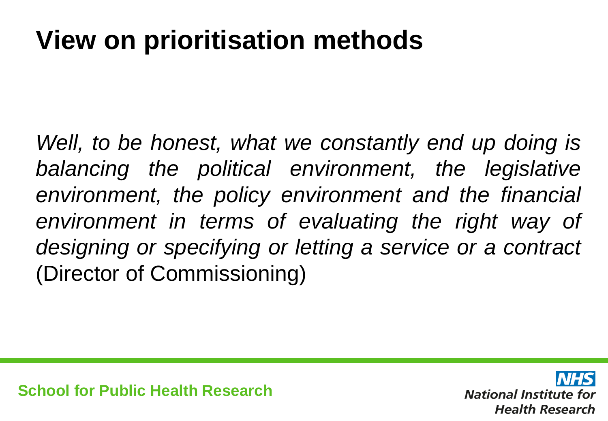*Well, to be honest, what we constantly end up doing is balancing the political environment, the legislative environment, the policy environment and the financial environment in terms of evaluating the right way of designing or specifying or letting a service or a contract* (Director of Commissioning)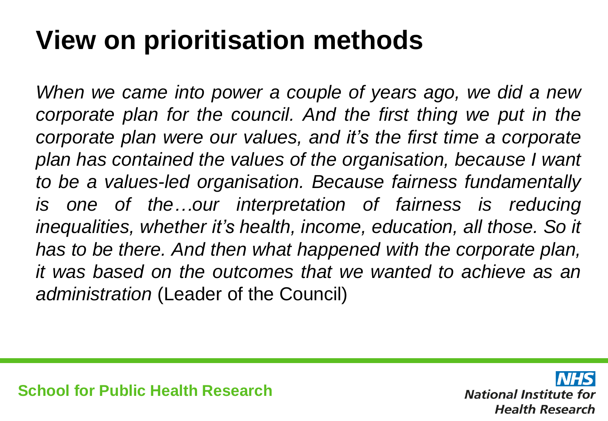*When we came into power a couple of years ago, we did a new corporate plan for the council. And the first thing we put in the corporate plan were our values, and it's the first time a corporate plan has contained the values of the organisation, because I want to be a values-led organisation. Because fairness fundamentally is one of the…our interpretation of fairness is reducing inequalities, whether it's health, income, education, all those. So it has to be there. And then what happened with the corporate plan, it was based on the outcomes that we wanted to achieve as an administration* (Leader of the Council)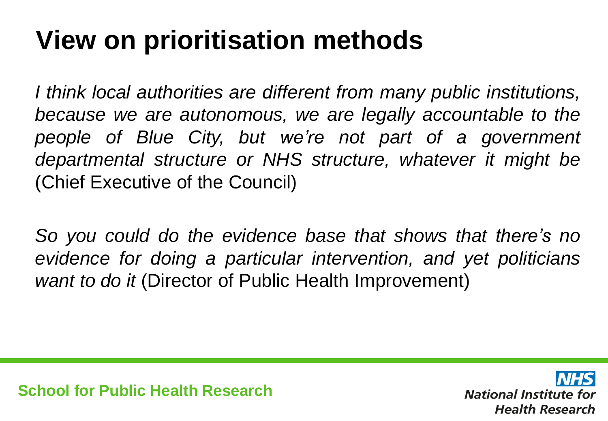*I think local authorities are different from many public institutions, because we are autonomous, we are legally accountable to the people of Blue City, but we're not part of a government departmental structure or NHS structure, whatever it might be* (Chief Executive of the Council)

*So you could do the evidence base that shows that there's no evidence for doing a particular intervention, and yet politicians want to do it* (Director of Public Health Improvement)

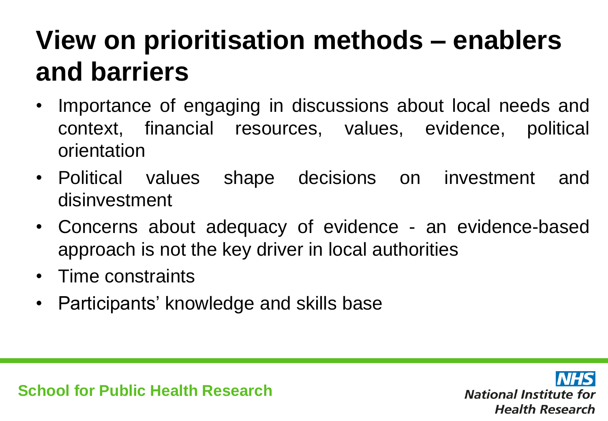## **View on prioritisation methods – enablers and barriers**

- Importance of engaging in discussions about local needs and context, financial resources, values, evidence, political orientation
- Political values shape decisions on investment and disinvestment
- Concerns about adequacy of evidence an evidence-based approach is not the key driver in local authorities
- Time constraints
- Participants' knowledge and skills base

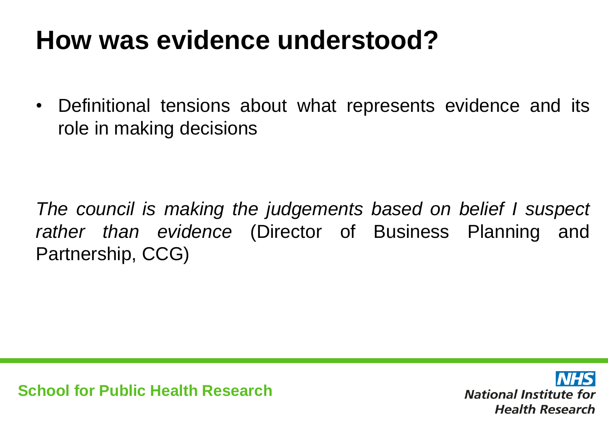#### **How was evidence understood?**

• Definitional tensions about what represents evidence and its role in making decisions

*The council is making the judgements based on belief I suspect rather than evidence* (Director of Business Planning and Partnership, CCG)

**School for Public Health Research**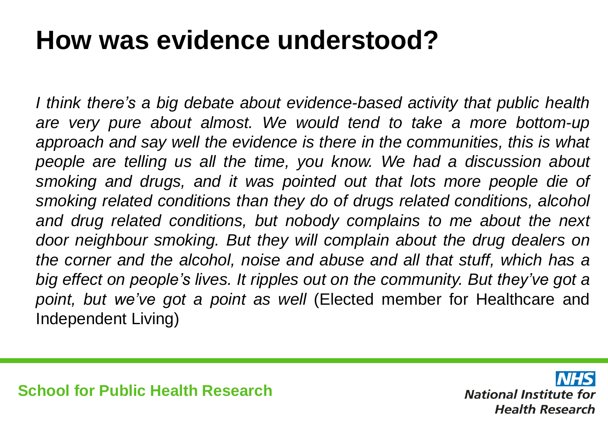#### **How was evidence understood?**

*I think there's a big debate about evidence-based activity that public health are very pure about almost. We would tend to take a more bottom-up approach and say well the evidence is there in the communities, this is what people are telling us all the time, you know. We had a discussion about smoking and drugs, and it was pointed out that lots more people die of smoking related conditions than they do of drugs related conditions, alcohol and drug related conditions, but nobody complains to me about the next door neighbour smoking. But they will complain about the drug dealers on the corner and the alcohol, noise and abuse and all that stuff, which has a big effect on people's lives. It ripples out on the community. But they've got a point, but we've got a point as well* (Elected member for Healthcare and Independent Living)

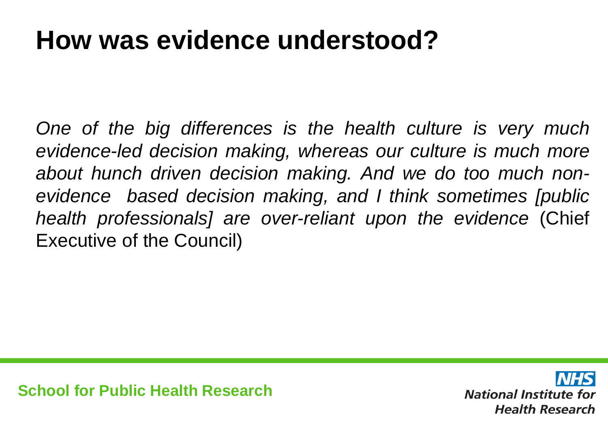#### **How was evidence understood?**

*One of the big differences is the health culture is very much evidence-led decision making, whereas our culture is much more about hunch driven decision making. And we do too much nonevidence based decision making, and I think sometimes [public health professionals] are over-reliant upon the evidence* (Chief Executive of the Council)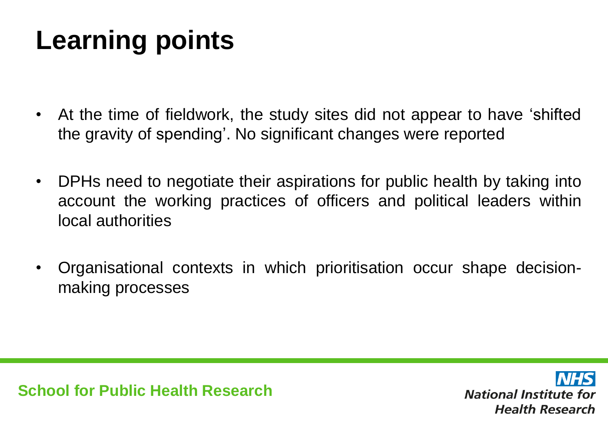## **Learning points**

- At the time of fieldwork, the study sites did not appear to have 'shifted the gravity of spending'. No significant changes were reported
- DPHs need to negotiate their aspirations for public health by taking into account the working practices of officers and political leaders within local authorities
- Organisational contexts in which prioritisation occur shape decisionmaking processes

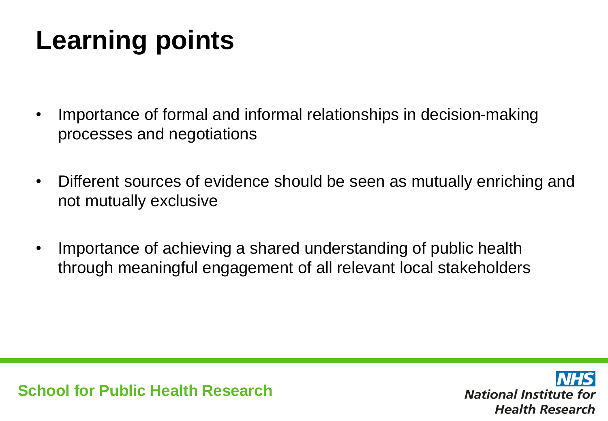## **Learning points**

- Importance of formal and informal relationships in decision-making processes and negotiations
- Different sources of evidence should be seen as mutually enriching and not mutually exclusive
- Importance of achieving a shared understanding of public health through meaningful engagement of all relevant local stakeholders

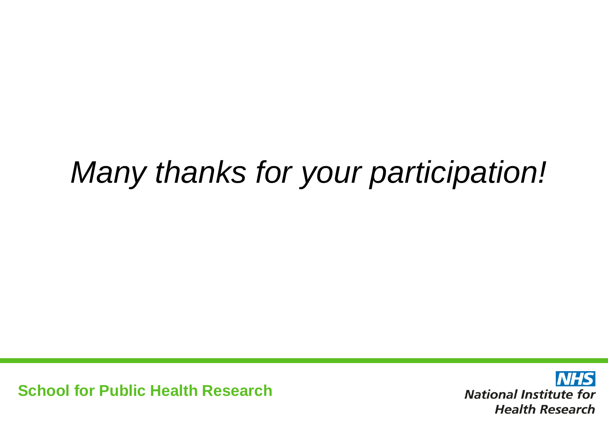## *Many thanks for your participation!*

**School for Public Health Research**